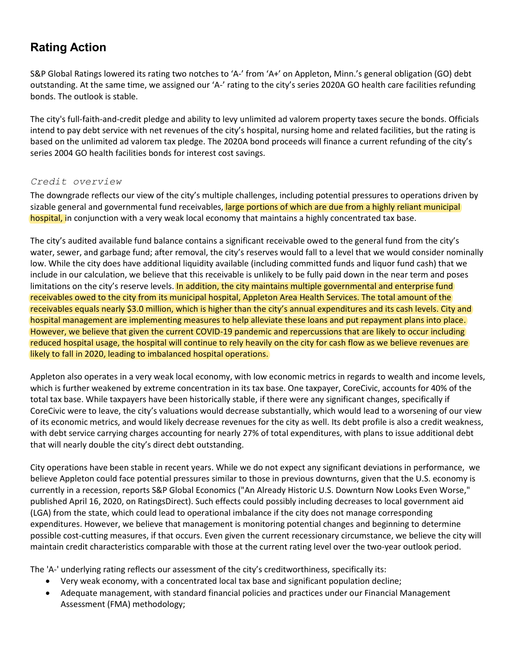# **Rating Action**

S&P Global Ratings lowered its rating two notches to 'A-' from 'A+' on Appleton, Minn.'s general obligation (GO) debt outstanding. At the same time, we assigned our 'A-' rating to the city's series 2020A GO health care facilities refunding bonds. The outlook is stable.

The city's full-faith-and-credit pledge and ability to levy unlimited ad valorem property taxes secure the bonds. Officials intend to pay debt service with net revenues of the city's hospital, nursing home and related facilities, but the rating is based on the unlimited ad valorem tax pledge. The 2020A bond proceeds will finance a current refunding of the city's series 2004 GO health facilities bonds for interest cost savings.

## *Credit overview*

The downgrade reflects our view of the city's multiple challenges, including potential pressures to operations driven by sizable general and governmental fund receivables, large portions of which are due from a highly reliant municipal hospital, in conjunction with a very weak local economy that maintains a highly concentrated tax base.

The city's audited available fund balance contains a significant receivable owed to the general fund from the city's water, sewer, and garbage fund; after removal, the city's reserves would fall to a level that we would consider nominally low. While the city does have additional liquidity available (including committed funds and liquor fund cash) that we include in our calculation, we believe that this receivable is unlikely to be fully paid down in the near term and poses limitations on the city's reserve levels. In addition, the city maintains multiple governmental and enterprise fund receivables owed to the city from its municipal hospital, Appleton Area Health Services. The total amount of the receivables equals nearly \$3.0 million, which is higher than the city's annual expenditures and its cash levels. City and hospital management are implementing measures to help alleviate these loans and put repayment plans into place. However, we believe that given the current COVID-19 pandemic and repercussions that are likely to occur including reduced hospital usage, the hospital will continue to rely heavily on the city for cash flow as we believe revenues are likely to fall in 2020, leading to imbalanced hospital operations.

Appleton also operates in a very weak local economy, with low economic metrics in regards to wealth and income levels, which is further weakened by extreme concentration in its tax base. One taxpayer, CoreCivic, accounts for 40% of the total tax base. While taxpayers have been historically stable, if there were any significant changes, specifically if CoreCivic were to leave, the city's valuations would decrease substantially, which would lead to a worsening of our view of its economic metrics, and would likely decrease revenues for the city as well. Its debt profile is also a credit weakness, with debt service carrying charges accounting for nearly 27% of total expenditures, with plans to issue additional debt that will nearly double the city's direct debt outstanding.

City operations have been stable in recent years. While we do not expect any significant deviations in performance, we believe Appleton could face potential pressures similar to those in previous downturns, given that the U.S. economy is currently in a recession, reports S&P Global Economics ("An Already Historic U.S. Downturn Now Looks Even Worse," published April 16, 2020, on RatingsDirect). Such effects could possibly including decreases to local government aid (LGA) from the state, which could lead to operational imbalance if the city does not manage corresponding expenditures. However, we believe that management is monitoring potential changes and beginning to determine possible cost-cutting measures, if that occurs. Even given the current recessionary circumstance, we believe the city will maintain credit characteristics comparable with those at the current rating level over the two-year outlook period.

The 'A-' underlying rating reflects our assessment of the city's creditworthiness, specifically its:

- Very weak economy, with a concentrated local tax base and significant population decline;
- Adequate management, with standard financial policies and practices under our Financial Management Assessment (FMA) methodology;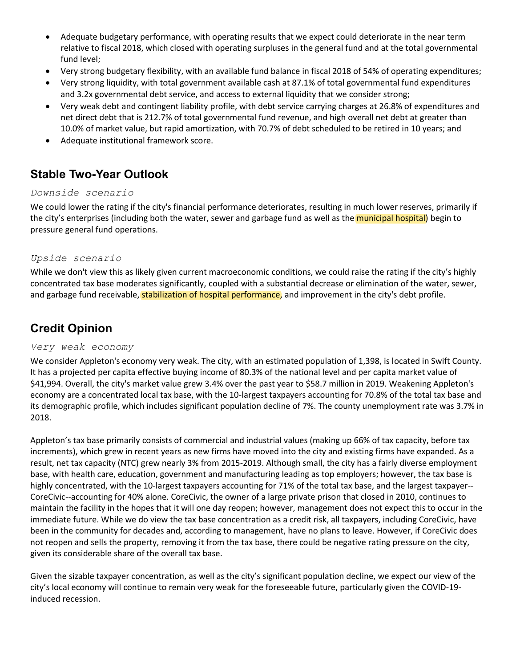- Adequate budgetary performance, with operating results that we expect could deteriorate in the near term relative to fiscal 2018, which closed with operating surpluses in the general fund and at the total governmental fund level;
- Very strong budgetary flexibility, with an available fund balance in fiscal 2018 of 54% of operating expenditures;
- Very strong liquidity, with total government available cash at 87.1% of total governmental fund expenditures and 3.2x governmental debt service, and access to external liquidity that we consider strong;
- Very weak debt and contingent liability profile, with debt service carrying charges at 26.8% of expenditures and net direct debt that is 212.7% of total governmental fund revenue, and high overall net debt at greater than 10.0% of market value, but rapid amortization, with 70.7% of debt scheduled to be retired in 10 years; and
- Adequate institutional framework score.

# **Stable Two-Year Outlook**

## *Downside scenario*

We could lower the rating if the city's financial performance deteriorates, resulting in much lower reserves, primarily if the city's enterprises (including both the water, sewer and garbage fund as well as the *municipal hospital*) begin to pressure general fund operations.

## *Upside scenario*

While we don't view this as likely given current macroeconomic conditions, we could raise the rating if the city's highly concentrated tax base moderates significantly, coupled with a substantial decrease or elimination of the water, sewer, and garbage fund receivable, stabilization of hospital performance, and improvement in the city's debt profile.

# **Credit Opinion**

### *Very weak economy*

We consider Appleton's economy very weak. The city, with an estimated population of 1,398, is located in Swift County. It has a projected per capita effective buying income of 80.3% of the national level and per capita market value of \$41,994. Overall, the city's market value grew 3.4% over the past year to \$58.7 million in 2019. Weakening Appleton's economy are a concentrated local tax base, with the 10-largest taxpayers accounting for 70.8% of the total tax base and its demographic profile, which includes significant population decline of 7%. The county unemployment rate was 3.7% in 2018.

Appleton's tax base primarily consists of commercial and industrial values (making up 66% of tax capacity, before tax increments), which grew in recent years as new firms have moved into the city and existing firms have expanded. As a result, net tax capacity (NTC) grew nearly 3% from 2015-2019. Although small, the city has a fairly diverse employment base, with health care, education, government and manufacturing leading as top employers; however, the tax base is highly concentrated, with the 10-largest taxpayers accounting for 71% of the total tax base, and the largest taxpayer-- CoreCivic--accounting for 40% alone. CoreCivic, the owner of a large private prison that closed in 2010, continues to maintain the facility in the hopes that it will one day reopen; however, management does not expect this to occur in the immediate future. While we do view the tax base concentration as a credit risk, all taxpayers, including CoreCivic, have been in the community for decades and, according to management, have no plans to leave. However, if CoreCivic does not reopen and sells the property, removing it from the tax base, there could be negative rating pressure on the city, given its considerable share of the overall tax base.

Given the sizable taxpayer concentration, as well as the city's significant population decline, we expect our view of the city's local economy will continue to remain very weak for the foreseeable future, particularly given the COVID-19 induced recession.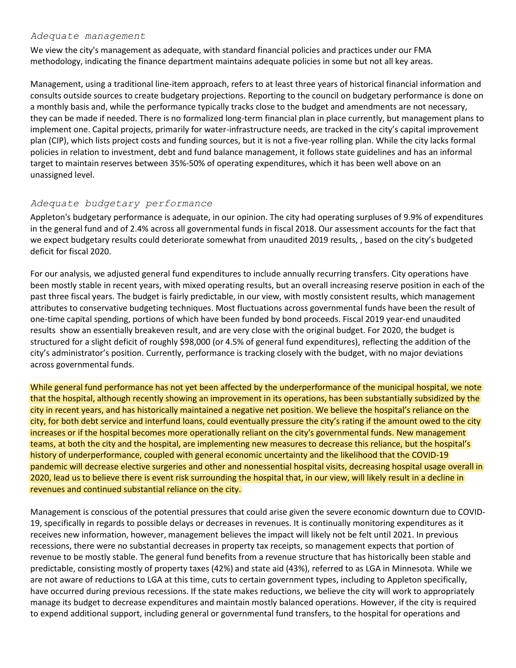#### *Adequate management*

We view the city's management as adequate, with standard financial policies and practices under our FMA methodology, indicating the finance department maintains adequate policies in some but not all key areas.

Management, using a traditional line-item approach, refers to at least three years of historical financial information and consults outside sources to create budgetary projections. Reporting to the council on budgetary performance is done on a monthly basis and, while the performance typically tracks close to the budget and amendments are not necessary, they can be made if needed. There is no formalized long-term financial plan in place currently, but management plans to implement one. Capital projects, primarily for water-infrastructure needs, are tracked in the city's capital improvement plan (CIP), which lists project costs and funding sources, but it is not a five-year rolling plan. While the city lacks formal policies in relation to investment, debt and fund balance management, it follows state guidelines and has an informal target to maintain reserves between 35%-50% of operating expenditures, which it has been well above on an unassigned level.

### *Adequate budgetary performance*

Appleton's budgetary performance is adequate, in our opinion. The city had operating surpluses of 9.9% of expenditures in the general fund and of 2.4% across all governmental funds in fiscal 2018. Our assessment accounts for the fact that we expect budgetary results could deteriorate somewhat from unaudited 2019 results, , based on the city's budgeted deficit for fiscal 2020.

For our analysis, we adjusted general fund expenditures to include annually recurring transfers. City operations have been mostly stable in recent years, with mixed operating results, but an overall increasing reserve position in each of the past three fiscal years. The budget is fairly predictable, in our view, with mostly consistent results, which management attributes to conservative budgeting techniques. Most fluctuations across governmental funds have been the result of one-time capital spending, portions of which have been funded by bond proceeds. Fiscal 2019 year-end unaudited results show an essentially breakeven result, and are very close with the original budget. For 2020, the budget is structured for a slight deficit of roughly \$98,000 (or 4.5% of general fund expenditures), reflecting the addition of the city's administrator's position. Currently, performance is tracking closely with the budget, with no major deviations across governmental funds.

While general fund performance has not yet been affected by the underperformance of the municipal hospital, we note that the hospital, although recently showing an improvement in its operations, has been substantially subsidized by the city in recent years, and has historically maintained a negative net position. We believe the hospital's reliance on the city, for both debt service and interfund loans, could eventually pressure the city's rating if the amount owed to the city increases or if the hospital becomes more operationally reliant on the city's governmental funds. New management teams, at both the city and the hospital, are implementing new measures to decrease this reliance, but the hospital's history of underperformance, coupled with general economic uncertainty and the likelihood that the COVID-19 pandemic will decrease elective surgeries and other and nonessential hospital visits, decreasing hospital usage overall in 2020, lead us to believe there is event risk surrounding the hospital that, in our view, will likely result in a decline in revenues and continued substantial reliance on the city.

Management is conscious of the potential pressures that could arise given the severe economic downturn due to COVID-19, specifically in regards to possible delays or decreases in revenues. It is continually monitoring expenditures as it receives new information, however, management believes the impact will likely not be felt until 2021. In previous recessions, there were no substantial decreases in property tax receipts, so management expects that portion of revenue to be mostly stable. The general fund benefits from a revenue structure that has historically been stable and predictable, consisting mostly of property taxes (42%) and state aid (43%), referred to as LGA in Minnesota. While we are not aware of reductions to LGA at this time, cuts to certain government types, including to Appleton specifically, have occurred during previous recessions. If the state makes reductions, we believe the city will work to appropriately manage its budget to decrease expenditures and maintain mostly balanced operations. However, if the city is required to expend additional support, including general or governmental fund transfers, to the hospital for operations and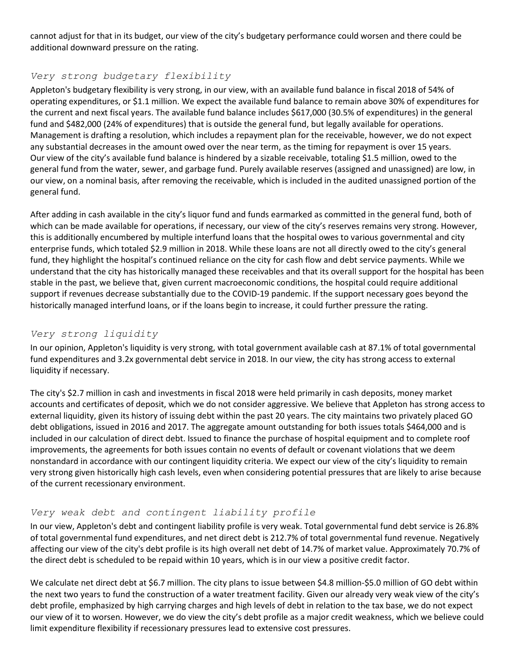cannot adjust for that in its budget, our view of the city's budgetary performance could worsen and there could be additional downward pressure on the rating.

# *Very strong budgetary flexibility*

Appleton's budgetary flexibility is very strong, in our view, with an available fund balance in fiscal 2018 of 54% of operating expenditures, or \$1.1 million. We expect the available fund balance to remain above 30% of expenditures for the current and next fiscal years. The available fund balance includes \$617,000 (30.5% of expenditures) in the general fund and \$482,000 (24% of expenditures) that is outside the general fund, but legally available for operations. Management is drafting a resolution, which includes a repayment plan for the receivable, however, we do not expect any substantial decreases in the amount owed over the near term, as the timing for repayment is over 15 years. Our view of the city's available fund balance is hindered by a sizable receivable, totaling \$1.5 million, owed to the general fund from the water, sewer, and garbage fund. Purely available reserves (assigned and unassigned) are low, in our view, on a nominal basis, after removing the receivable, which is included in the audited unassigned portion of the general fund.

After adding in cash available in the city's liquor fund and funds earmarked as committed in the general fund, both of which can be made available for operations, if necessary, our view of the city's reserves remains very strong. However, this is additionally encumbered by multiple interfund loans that the hospital owes to various governmental and city enterprise funds, which totaled \$2.9 million in 2018. While these loans are not all directly owed to the city's general fund, they highlight the hospital's continued reliance on the city for cash flow and debt service payments. While we understand that the city has historically managed these receivables and that its overall support for the hospital has been stable in the past, we believe that, given current macroeconomic conditions, the hospital could require additional support if revenues decrease substantially due to the COVID-19 pandemic. If the support necessary goes beyond the historically managed interfund loans, or if the loans begin to increase, it could further pressure the rating.

# *Very strong liquidity*

In our opinion, Appleton's liquidity is very strong, with total government available cash at 87.1% of total governmental fund expenditures and 3.2x governmental debt service in 2018. In our view, the city has strong access to external liquidity if necessary.

The city's \$2.7 million in cash and investments in fiscal 2018 were held primarily in cash deposits, money market accounts and certificates of deposit, which we do not consider aggressive. We believe that Appleton has strong access to external liquidity, given its history of issuing debt within the past 20 years. The city maintains two privately placed GO debt obligations, issued in 2016 and 2017. The aggregate amount outstanding for both issues totals \$464,000 and is included in our calculation of direct debt. Issued to finance the purchase of hospital equipment and to complete roof improvements, the agreements for both issues contain no events of default or covenant violations that we deem nonstandard in accordance with our contingent liquidity criteria. We expect our view of the city's liquidity to remain very strong given historically high cash levels, even when considering potential pressures that are likely to arise because of the current recessionary environment.

# *Very weak debt and contingent liability profile*

In our view, Appleton's debt and contingent liability profile is very weak. Total governmental fund debt service is 26.8% of total governmental fund expenditures, and net direct debt is 212.7% of total governmental fund revenue. Negatively affecting our view of the city's debt profile is its high overall net debt of 14.7% of market value. Approximately 70.7% of the direct debt is scheduled to be repaid within 10 years, which is in our view a positive credit factor.

We calculate net direct debt at \$6.7 million. The city plans to issue between \$4.8 million-\$5.0 million of GO debt within the next two years to fund the construction of a water treatment facility. Given our already very weak view of the city's debt profile, emphasized by high carrying charges and high levels of debt in relation to the tax base, we do not expect our view of it to worsen. However, we do view the city's debt profile as a major credit weakness, which we believe could limit expenditure flexibility if recessionary pressures lead to extensive cost pressures.